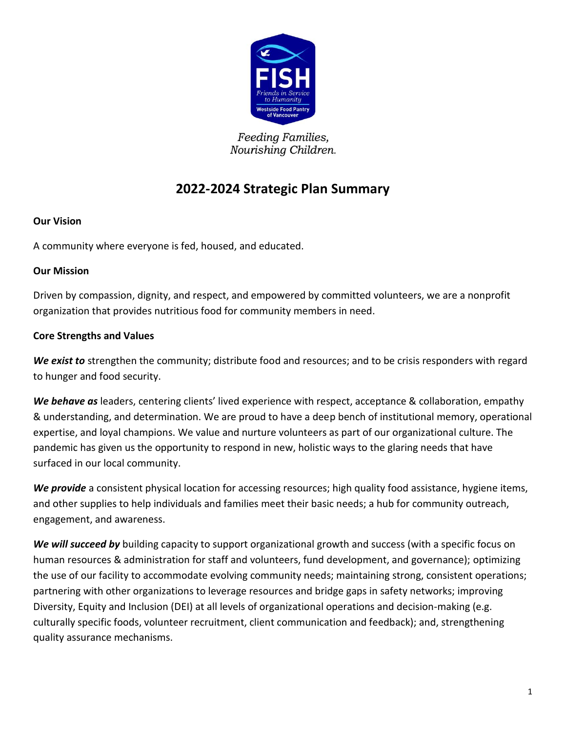

Feeding Families, Nourishing Children.

# **2022-2024 Strategic Plan Summary**

## **Our Vision**

A community where everyone is fed, housed, and educated.

## **Our Mission**

Driven by compassion, dignity, and respect, and empowered by committed volunteers, we are a nonprofit organization that provides nutritious food for community members in need.

# **Core Strengths and Values**

*We exist to* strengthen the community; distribute food and resources; and to be crisis responders with regard to hunger and food security.

*We behave as* leaders, centering clients' lived experience with respect, acceptance & collaboration, empathy & understanding, and determination. We are proud to have a deep bench of institutional memory, operational expertise, and loyal champions. We value and nurture volunteers as part of our organizational culture. The pandemic has given us the opportunity to respond in new, holistic ways to the glaring needs that have surfaced in our local community.

*We provide* a consistent physical location for accessing resources; high quality food assistance, hygiene items, and other supplies to help individuals and families meet their basic needs; a hub for community outreach, engagement, and awareness.

*We will succeed by* building capacity to support organizational growth and success (with a specific focus on human resources & administration for staff and volunteers, fund development, and governance); optimizing the use of our facility to accommodate evolving community needs; maintaining strong, consistent operations; partnering with other organizations to leverage resources and bridge gaps in safety networks; improving Diversity, Equity and Inclusion (DEI) at all levels of organizational operations and decision-making (e.g. culturally specific foods, volunteer recruitment, client communication and feedback); and, strengthening quality assurance mechanisms.